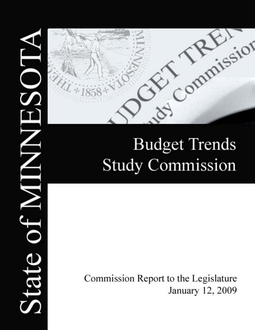

# **Budget Trends Study Commission**

Commission Report to the Legislature January 12, 2009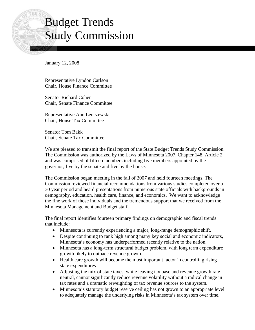# Budget Trends Study Commission

January 12, 2008

Representative Lyndon Carlson Chair, House Finance Committee

Senator Richard Cohen Chair, Senate Finance Committee

Representative Ann Lenczewski Chair, House Tax Committee

Senator Tom Bakk Chair, Senate Tax Committee

We are pleased to transmit the final report of the State Budget Trends Study Commission. The Commission was authorized by the Laws of Minnesota 2007, Chapter 148, Article 2 and was comprised of fifteen members including five members appointed by the governor; five by the senate and five by the house.

The Commission began meeting in the fall of 2007 and held fourteen meetings. The Commission reviewed financial recommendations from various studies completed over a 30 year period and heard presentations from numerous state officials with backgrounds in demography, education, health care, finance, and economics. We want to acknowledge the fine work of those individuals and the tremendous support that we received from the Minnesota Management and Budget staff.

The final report identifies fourteen primary findings on demographic and fiscal trends that include:

- Minnesota is currently experiencing a major, long-range demographic shift.
- Despite continuing to rank high among many key social and economic indicators, Minnesota's economy has underperformed recently relative to the nation.
- Minnesota has a long-term structural budget problem, with long term expenditure growth likely to outpace revenue growth.
- Health care growth will become the most important factor in controlling rising state expenditures
- Adjusting the mix of state taxes, while leaving tax base and revenue growth rate neutral, cannot significantly reduce revenue volatility without a radical change in tax rates and a dramatic reweighting of tax revenue sources to the system.
- Minnesota's statutory budget reserve ceiling has not grown to an appropriate level to adequately manage the underlying risks in Minnesota's tax system over time.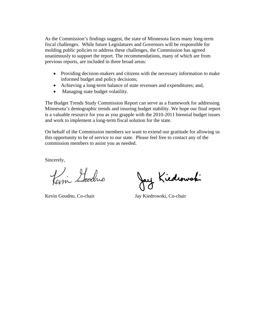As the Commission's findings suggest, the state of Minnesota faces many long-term fiscal challenges. While future Legislatures and Governors will be responsible for molding public policies to address these challenges, the Commission has agreed unanimously to support the report. The recommendations, many of which are from previous reports, are included in three broad areas:

- Providing decision-makers and citizens with the necessary information to make informed budget and policy decisions;
- Achieving a long-term balance of state revenues and expenditures; and,
- Managing state budget volatility.

The Budget Trends Study Commission Report can serve as a framework for addressing Minnesota's demographic trends and insuring budget stability. We hope our final report is a valuable resource for you as you grapple with the 2010-2011 biennial budget issues and work to implement a long-term fiscal solution for the state.

On behalf of the Commission members we want to extend our gratitude for allowing us this opportunity to be of service to our state. Please feel free to contact any of the commission members to assist you as needed.

Sincerely,

Pari Goodro

Kiedwuski

Kevin Goodno, Co-chair Jay Kiedrowski, Co-chair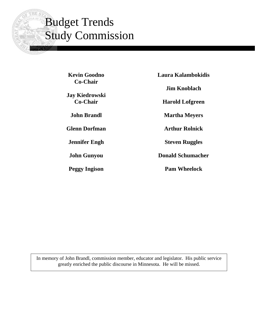# Budget Trends Study Commission

**Kevin Goodno Co-Chair** 

**Jay Kiedrowski Co-Chair** 

**John Brandl** 

**Glenn Dorfman** 

**Jennifer Engh** 

**John Gunyou** 

**Peggy Ingison** 

**Laura Kalambokidis Jim Knoblach Harold Lofgreen Martha Meyers Arthur Rolnick** 

**Steven Ruggles** 

**Donald Schumacher** 

**Pam Wheelock**

In memory of John Brandl, commission member, educator and legislator. His public service greatly enriched the public discourse in Minnesota. He will be missed.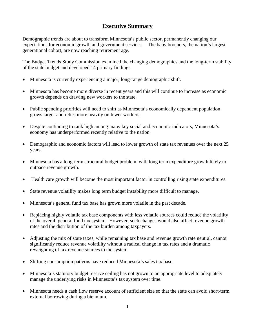### **Executive Summary**

Demographic trends are about to transform Minnesota's public sector, permanently changing our expectations for economic growth and government services. The baby boomers, the nation's largest generational cohort, are now reaching retirement age.

The Budget Trends Study Commission examined the changing demographics and the long-term stability of the state budget and developed 14 primary findings.

- Minnesota is currently experiencing a major, long-range demographic shift.
- Minnesota has become more diverse in recent years and this will continue to increase as economic growth depends on drawing new workers to the state.
- Public spending priorities will need to shift as Minnesota's economically dependent population grows larger and relies more heavily on fewer workers.
- Despite continuing to rank high among many key social and economic indicators, Minnesota's economy has underperformed recently relative to the nation.
- Demographic and economic factors will lead to lower growth of state tax revenues over the next 25 years.
- Minnesota has a long-term structural budget problem, with long term expenditure growth likely to outpace revenue growth.
- Health care growth will become the most important factor in controlling rising state expenditures.
- State revenue volatility makes long term budget instability more difficult to manage.
- Minnesota's general fund tax base has grown more volatile in the past decade.
- Replacing highly volatile tax base components with less volatile sources could reduce the volatility of the overall general fund tax system. However, such changes would also affect revenue growth rates and the distribution of the tax burden among taxpayers.
- Adjusting the mix of state taxes, while remaining tax base and revenue growth rate neutral, cannot significantly reduce revenue volatility without a radical change in tax rates and a dramatic reweighting of tax revenue sources to the system.
- Shifting consumption patterns have reduced Minnesota's sales tax base.
- Minnesota's statutory budget reserve ceiling has not grown to an appropriate level to adequately manage the underlying risks in Minnesota's tax system over time.
- Minnesota needs a cash flow reserve account of sufficient size so that the state can avoid short-term external borrowing during a biennium.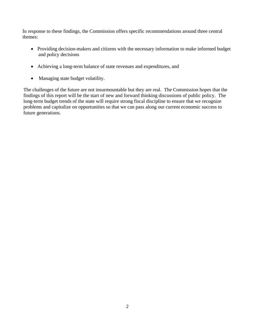In response to these findings, the Commission offers specific recommendations around three central themes:

- Providing decision-makers and citizens with the necessary information to make informed budget and policy decisions
- Achieving a long-term balance of state revenues and expenditures, and
- Managing state budget volatility.

The challenges of the future are not insurmountable but they are real. The Commission hopes that the findings of this report will be the start of new and forward thinking discussions of public policy. The long-term budget trends of the state will require strong fiscal discipline to ensure that we recognize problems and capitalize on opportunities so that we can pass along our current economic success to future generations.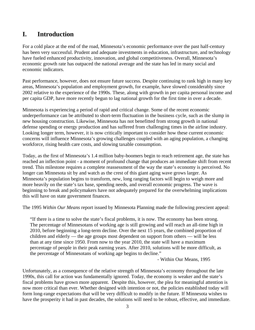# **I. Introduction**

For a cold place at the end of the road, Minnesota's economic performance over the past half-century has been very successful. Prudent and adequate investments in education, infrastructure, and technology have fueled enhanced productivity, innovation, and global competitiveness. Overall, Minnesota's economic growth rate has outpaced the national average and the state has led in many social and economic indicators.

Past performance, however, does not ensure future success. Despite continuing to rank high in many key areas, Minnesota's population and employment growth, for example, have slowed considerably since 2002 relative to the experience of the 1990s. These, along with growth in per capita personal income and per capita GDP, have more recently begun to lag national growth for the first time in over a decade.

Minnesota is experiencing a period of rapid and critical change. Some of the recent economic underperformance can be attributed to short-term fluctuation in the business cycle, such as the slump in new housing construction. Likewise, Minnesota has not benefitted from strong growth in national defense spending or energy production and has suffered from challenging times in the airline industry. Looking longer term, however, it is now critically important to consider how these current economic concerns will influence Minnesota's growing challenges coupled with an aging population, a changing workforce, rising health care costs, and slowing taxable consumption.

Today, as the first of Minnesota's 1.4 million baby-boomers begin to reach retirement age, the state has reached an inflection point - a moment of profound change that produces an immediate shift from recent trend. This milestone requires a complete reassessment of the way the state's economy is perceived. No longer can Minnesota sit by and watch as the crest of this giant aging wave grows larger. As Minnesota's population begins to transform, new, long ranging factors will begin to weigh more and more heavily on the state's tax base, spending needs, and overall economic progress. The wave is beginning to break and policymakers have not adequately prepared for the overwhelming implications this will have on state government finances.

The 1995 *Within Our Means* report issued by Minnesota Planning made the following prescient appeal:

"If there is a time to solve the state's fiscal problems, it is now. The economy has been strong. The percentage of Minnesotans of working age is still growing and will reach an all-time high in 2010, before beginning a long-term decline. Over the next 15 years, the combined proportion of children and elderly — the age groups most dependent on support from others — will be less than at any time since 1950. From now to the year 2010, the state will have a maximum percentage of people in their peak earning years. After 2010, solutions will be more difficult, as the percentage of Minnesotans of working age begins to decline."

- Within Our Means, 1995

Unfortunately, as a consequence of the relative strength of Minnesota's economy throughout the late 1990s, this call for action was fundamentally ignored. Today, the economy is weaker and the state's fiscal problems have grown more apparent. Despite this, however, the plea for meaningful attention is now more critical than ever. Whether designed with intention or not, the policies established today will form long-range expectations that will be very difficult to modify in the future. If Minnesota wishes to have the prosperity it had in past decades, the solutions will need to be robust, effective, and immediate.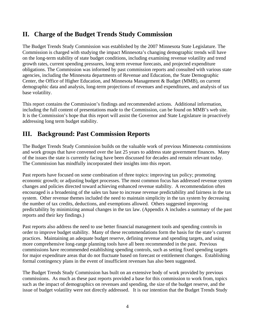# **II. Charge of the Budget Trends Study Commission**

The Budget Trends Study Commission was established by the 2007 Minnesota State Legislature. The Commission is charged with studying the impact Minnesota's changing demographic trends will have on the long-term stability of state budget conditions, including examining revenue volatility and trend growth rates, current spending pressures, long term revenue forecasts, and projected expenditure obligations. The Commission was informed by past commission reports and consulted with various state agencies, including the Minnesota departments of Revenue and Education, the State Demographic Center, the Office of Higher Education, and Minnesota Management & Budget (MMB), on current demographic data and analysis, long-term projections of revenues and expenditures, and analysis of tax base volatility.

This report contains the Commission's findings and recommended actions. Additional information, including the full content of presentations made to the Commission, can be found on MMB's web site. It is the Commission's hope that this report will assist the Governor and State Legislature in proactively addressing long term budget stability.

# **III. Background: Past Commission Reports**

The Budget Trends Study Commission builds on the valuable work of previous Minnesota commissions and work groups that have convened over the last 25 years to address state government finances. Many of the issues the state is currently facing have been discussed for decades and remain relevant today. The Commission has mindfully incorporated their insights into this report.

Past reports have focused on some combination of three topics: improving tax policy; promoting economic growth; or adjusting budget processes. The most common focus has addressed revenue system changes and policies directed toward achieving enhanced revenue stability. A recommendation often encouraged is a broadening of the sales tax base to increase revenue predictability and fairness in the tax system. Other revenue themes included the need to maintain simplicity in the tax system by decreasing the number of tax credits, deductions, and exemptions allowed. Others suggested improving predictability by minimizing annual changes in the tax law. (Appendix A includes a summary of the past reports and their key findings.)

Past reports also address the need to use better financial management tools and spending controls in order to improve budget stability. Many of these recommendations form the basis for the state's current practices. Maintaining an adequate budget reserve, defining revenue and spending targets, and using more comprehensive long-range planning tools have all been recommended in the past. Previous commissions have recommended establishing spending controls, such as setting fixed spending targets for major expenditure areas that do not fluctuate based on forecast or entitlement changes. Establishing formal contingency plans in the event of insufficient revenues has also been suggested.

The Budget Trends Study Commission has built on an extensive body of work provided by previous commissions. As much as these past reports provided a base for this commission to work from, topics such as the impact of demographics on revenues and spending, the size of the budget reserve, and the issue of budget volatility were not directly addressed. It is our intention that the Budget Trends Study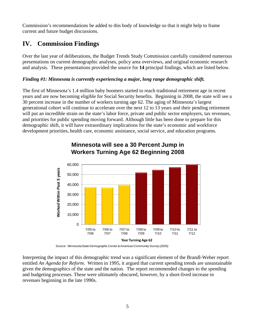Commission's recommendations be added to this body of knowledge so that it might help to frame current and future budget discussions.

# **IV. Commission Findings**

Over the last year of deliberations, the Budget Trends Study Commission carefully considered numerous presentations on current demographic analyses, policy area overviews, and original economic research and analysis. These presentations provided the source for **14** principal findings, which are listed below.

#### *Finding #1: Minnesota is currently experiencing a major, long range demographic shift.*

The first of Minnesota's 1.4 million baby boomers started to reach traditional retirement age in recent years and are now becoming eligible for Social Security benefits. Beginning in 2008, the state will see a 30 percent increase in the number of workers turning age 62. The aging of Minnesota's largest generational cohort will continue to accelerate over the next 12 to 13 years and their pending retirement will put an incredible strain on the state's labor force, private and public sector employers, tax revenues, and priorities for public spending moving forward. Although little has been done to prepare for this demographic shift, it will have extraordinary implications for the state's economic and workforce development priorities, health care, economic assistance, social service, and education programs.



# **Minnesota will see a 30 Percent Jump in Workers Turning Age 62 Beginning 2008**

Source: Minnesota State Demographic Center & American Community Survey (2005)

Interpreting the impact of this demographic trend was a significant element of the Brandl-Weber report entitled *An Agenda for Reform*. Written in 1995, it argued that current spending trends are unsustainable given the demographics of the state and the nation. The report recommended changes to the spending and budgeting processes. These were ultimately obscured, however, by a short-lived increase in revenues beginning in the late 1990s.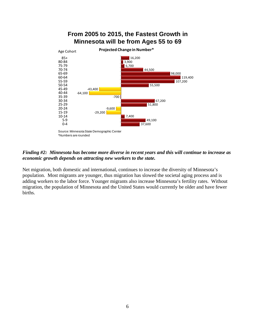

#### *Finding #2: Minnesota has become more diverse in recent years and this will continue to increase as economic growth depends on attracting new workers to the state.*

Net migration, both domestic and international, continues to increase the diversity of Minnesota's population. Most migrants are younger, thus migration has slowed the societal aging process and is adding workers to the labor force. Younger migrants also increase Minnesota's fertility rates. Without migration, the population of Minnesota and the United States would currently be older and have fewer births.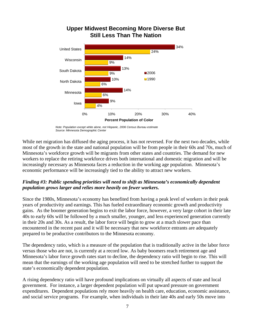

### **Upper Midwest Becoming More Diverse But Still Less Than The Nation**

*Note: Population except white alone, not Hispanic, 2006 Census Bureau estimate Source: Minnesota Demographic Center*

While net migration has diffused the aging process, it has not reversed. For the next two decades, while most of the growth in the state and national population will be from people in their 60s and 70s, much of Minnesota's workforce growth will be migrants from other states and countries. The demand for new workers to replace the retiring workforce drives both international and domestic migration and will be increasingly necessary as Minnesota faces a reduction in the working age population. Minnesota's economic performance will be increasingly tied to the ability to attract new workers.

#### *Finding #3: Public spending priorities will need to shift as Minnesota's economically dependent population grows larger and relies more heavily on fewer workers.*

Since the 1980s, Minnesota's economy has benefited from having a peak level of workers in their peak years of productivity and earnings. This has fueled extraordinary economic growth and productivity gains. As the boomer generation begins to exit the labor force, however, a very large cohort in their late 40s to early 60s will be followed by a much smaller, younger, and less experienced generation currently in their 20s and 30s. As a result, the labor force will begin to grow at a much slower pace than encountered in the recent past and it will be necessary that new workforce entrants are adequately prepared to be productive contributors to the Minnesota economy.

The dependency ratio, which is a measure of the population that is traditionally active in the labor force versus those who are not, is currently at a record low. As baby boomers reach retirement age and Minnesota's labor force growth rates start to decline, the dependency ratio will begin to rise. This will mean that the earnings of the working age population will need to be stretched further to support the state's economically dependent population.

A rising dependency ratio will have profound implications on virtually all aspects of state and local government. For instance, a larger dependent population will put upward pressure on government expenditures. Dependent populations rely more heavily on health care, education, economic assistance, and social service programs. For example, when individuals in their late 40s and early 50s move into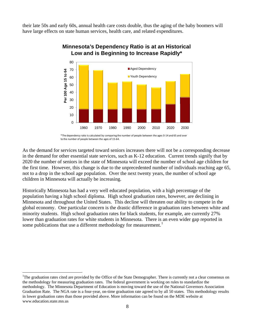their late 50s and early 60s, annual health care costs double, thus the aging of the baby boomers will have large effects on state human services, health care, and related expenditures.



#### **Minnesota's Dependency Ratio is at an Historical Low and is Beginning to Increase Rapidly\***

\*The dependency ratio is calculated by comparing the number of people between the ages 0‐14 and 65 and over to the number of people between the ages of 15‐64.

As the demand for services targeted toward seniors increases there will not be a corresponding decrease in the demand for other essential state services, such as K-12 education. Current trends signify that by 2020 the number of seniors in the state of Minnesota will exceed the number of school age children for the first time. However, this change is due to the unprecedented number of individuals reaching age 65, not to a drop in the school age population. Over the next twenty years, the number of school age children in Minnesota will actually be increasing.

Historically Minnesota has had a very well educated population, with a high percentage of the population having a high school diploma. High school graduation rates, however, are declining in Minnesota and throughout the United States. This decline will threaten our ability to compete in the global economy. One particular concern is the drastic difference in graduation rates between white and minority students. High school graduation rates for black students, for example, are currently 27% lower than graduation rates for white students in Minnesota. There is an even wider gap reported in some publications that use a different methodology for measurement.<sup>[1](#page-12-0)</sup>

 $\overline{a}$ 

<span id="page-12-0"></span><sup>&</sup>lt;sup>1</sup>The graduation rates cited are provided by the Office of the State Demographer. There is currently not a clear consensus on the methodology for measuring graduation rates. The federal government is working on rules to standardize the methodology. The Minnesota Department of Education is moving toward the use of the National Governors Association Graduation Rate. The NGA rate is a four-year, on-time graduation rate agreed to by all 50 states. This methodology results in lower graduation rates than those provided above. More information can be found on the MDE website at www.education.state.mn.us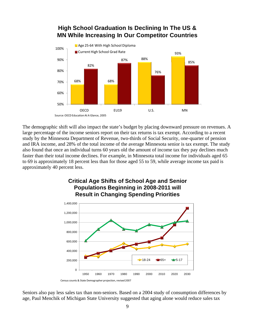

# **High School Graduation Is Declining In The US & MN While Increasing In Our Competitor Countries**

The demographic shift will also impact the state's budget by placing downward pressure on revenues. A large percentage of the income seniors report on their tax returns is tax exempt. According to a recent study by the Minnesota Department of Revenue, two-thirds of Social Security, one-quarter of pension and IRA income, and 28% of the total income of the average Minnesota senior is tax exempt. The study also found that once an individual turns 60 years old the amount of income tax they pay declines much faster than their total income declines. For example, in Minnesota total income for individuals aged 65 to 69 is approximately 18 percent less than for those aged 55 to 59, while average income tax paid is approximately 40 percent less.



**Critical Age Shifts of School Age and Senior Populations Beginning in 2008-2011 will** 

Seniors also pay less sales tax than non-seniors. Based on a 2004 study of consumption differences by age, Paul Menchik of Michigan State University suggested that aging alone would reduce sales tax

Census counts & State Demographer projection, revised 2007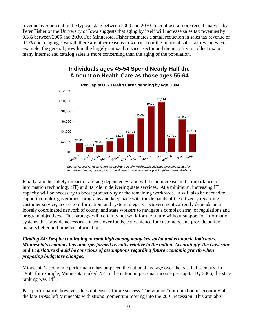revenue by 5 percent in the typical state between 2000 and 2030. In contrast, a more recent analysis by Peter Fisher of the University of Iowa suggests that aging by itself will increase sales tax revenues by 0.3% between 2005 and 2030. For Minnesota, Fisher estimates a small reduction in sales tax revenue of 0.2% due to aging. Overall, there are other reasons to worry about the future of sales tax revenues. For example, the general growth in the largely untaxed services sector and the inability to collect tax on many internet and catalog sales is more concerning than the aging of the population.

#### \$1,855 \$1,074 \$1,445 \$2,165 \$2,747 \$3,496 \$6,694 \$9,017 \$9,914 \$2,711 \$6,452 \$3,571 \$2,000 \$4,000 \$6,000 \$8,000 \$10,000 \$12,000 **Per Capita U.S. Health Care Spending by Age, 2004**

## **Individuals ages 45-54 Spend Nearly Half the Amount on Health Care as those ages 55-64**

A 551064

65to 74

451054

under65

 $15<sup>4</sup>$ 

Total

 $65*$ 

\$0

Under<sub>5</sub>

 $\sqrt{5^{10}}$   $2^4$ 

510 14

25to 34

A 35to 44

Finally, another likely impact of a rising dependency ratio will be an increase in the importance of information technology (IT) and its role in delivering state services. At a minimum, increasing IT capacity will be necessary to boost productivity of the remaining workforce. It will also be needed to support complex government programs and keep pace with the demands of the citizenry regarding customer service, access to information, and system integrity. Government currently depends on a loosely coordinated network of county and state workers to navigate a complex array of regulations and program objectives. This strategy will certainly not work for the future without support for information systems that provide necessary controls over funds, convenience for customers, and provide policy makers better and timelier information.

#### *Finding #4: Despite continuing to rank high among many key social and economic indicators, Minnesota's economy has underperformed recently relative to the nation. Accordingly, the Governor and Legislature should be conscious of assumptions regarding future economic growth when proposing budgetary changes.*

Minnesota's economic performance has outpaced the national average over the past half-century. In 1960, for example, Minnesota ranked  $25<sup>th</sup>$  in the nation in personal income per capita. By 2006, the state ranking was  $14<sup>th</sup>$ .

Past performance, however, does not ensure future success. The vibrant "dot-com boom" economy of the late 1990s left Minnesota with strong momentum moving into the 2001 recession. This arguably

*Source: Agency for HealthCare Research and Quality, Medical Expenditure Panel Survey, data for per capita spending by age group in the Midwest. Excludes spending for long-term care institutions.*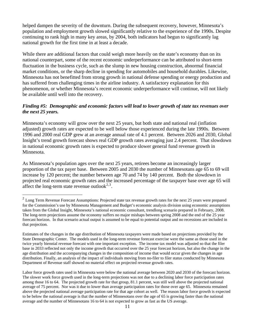helped dampen the severity of the downturn. During the subsequent recovery, however, Minnesota's population and employment growth slowed significantly relative to the experience of the 1990s. Despite continuing to rank high in many key areas, by 2004, both indicators had begun to significantly lag national growth for the first time in at least a decade.

While there are additional factors that could weigh more heavily on the state's economy than on its national counterpart, some of the recent economic underperformance can be attributed to short-term fluctuation in the business cycle, such as the slump in new housing construction, abnormal financial market conditions, or the sharp decline in spending for automobiles and household durables. Likewise, Minnesota has not benefitted from strong growth in national defense spending or energy production and has suffered from challenging times in the airline industry. A satisfactory explanation for this phenomenon, or whether Minnesota's recent economic underperformance will continue, will not likely be available until well into the recovery.

#### *Finding #5: Demographic and economic factors will lead to lower growth of state tax revenues over the next 25 years.*

Minnesota's economy will grow over the next 25 years, but both state and national real (inflation adjusted) growth rates are expected to be well below those experienced during the late 1990s. Between 1996 and 2000 real GDP grew at an average annual rate of 4.1 percent. Between 2026 and 2030, Global Insight's trend growth forecast shows real GDP growth rates averaging just 2.4 percent. That slowdown in national economic growth rates is expected to produce slower general fund revenue growth in Minnesota.

As Minnesota's population ages over the next 25 years, retirees become an increasingly larger proportion of the tax payer base. Between 2005 and 2030 the number of Minnesotans age 65 to 69 will increase by 120 percent; the number between age 70 and 74 by 140 percent. Both the slowdown in projected real economic growth rates and the increased percentage of the taxpayer base over age 65 will affect the long-term state revenue outlook $2.3$  $2.3$ .

 $\overline{a}$ 

<span id="page-15-0"></span> $2$  Long Term Revenue Forecast Assumptions: Projected state tax revenue growth rates for the next 25 years were prepared for the Commission's use by Minnesota Management and Budget's economic analysis division using economic assumptions taken from the Global Insight, Minnesota's national economic consultant, trendlong scenario prepared in February, 2008. The long-term projections assume the economy suffers no major mishaps between spring 2008 and the end of the 25 year forecast horizon. In that scenario actual output is assumed to be equal to potential output and no recessions are included in that projection.

Estimates of the changes in the age distribution of Minnesota taxpayers were made based on projections provided by the State Demographic Center. The models used in the long-term revenue forecast exercise were the same as those used in the twice yearly biennial revenue forecast with one important exception. The income tax model was adjusted so that the filer base in 2033 reflected not only the income growth that occurred over the 25 year forecast horizon, but also the change in the age distribution and the accompanying changes in the composition of income that would occur given the changes in age distribution. Finally, an analysis of the impact of individuals moving from no-filer to filer status conducted by Minnesota Department of Revenue staff showed no material effect on projected revenue growth rates.

<span id="page-15-1"></span>Labor force growth rates used in Minnesota were below the national average between 2020 and 2030 of the forecast horizon. The slower work force growth used in the long-term projections was not due to a declining labor force participation rates among those 16 to 64. The projected growth rate for that group, 81.1 percent, was still well above the projected national average of 75 percent. Nor was it due to lower than average participation rates for those over age 65. Minnesota remained above the projected national average participation rate for that age cohort as well. The reason labor force growth is expected to be below the national average is that the number of Minnesotans over the age of 65 is growing faster than the national average and the number of Minnesotans 16 to 64 is not expected to grow as fast as the US average.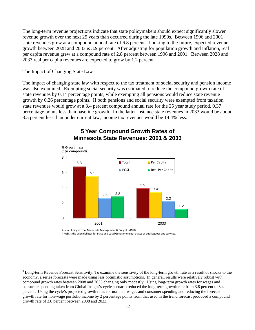The long-term revenue projections indicate that state policymakers should expect significantly slower revenue growth over the next 25 years than occurred during the late 1990s. Between 1996 and 2001 state revenues grew at a compound annual rate of 6.8 percent. Looking to the future, expected revenue growth between 2028 and 2033 is 3.9 percent. After adjusting for population growth and inflation, real per capita revenue grew at a compound rate of 2.8 percent between 1996 and 2001. Between 2028 and 2033 real per capita revenues are expected to grow by 1.2 percent.

#### The Impact of Changing State Law

<u>.</u>

The impact of changing state law with respect to the tax treatment of social security and pension income was also examined. Exempting social security was estimated to reduce the compound growth rate of state revenues by 0.14 percentage points, while exempting all pensions would reduce state revenue growth by 0.26 percentage points. If both pensions and social security were exempted from taxation state revenues would grow at a 3.4 percent compound annual rate for the 25 year study period, 0.37 percentage points less than baseline growth. In the latter instance state revenues in 2033 would be about 8.5 percent less than under current law, income tax revenues would be 14.4% less.



#### **5 Year Compound Growth Rates of Minnesota State Revenues: 2001 & 2033**

Source: Analysisfrom Minnesota Management & Budget (MMB)

\* PGSL isthe price deflator for State and Local Governmentpurchases of public goods and services.

 $3$  Long-term Revenue Forecast Sensitivity: To examine the sensitivity of the long-term growth rate as a result of shocks to the economy, a series forecasts were made using less optimistic assumptions. In general, results were relatively robust with compound growth rates between 2008 and 2033 changing only modestly. Using long-term growth rates for wages and consumer spending taken from Global Insight's cycle scenario reduced the long-term growth rate from 3.8 percent to 3.4 percent. Using the cycle's projected growth rates for nominal wages and consumer spending and reducing the forecast growth rate for non-wage portfolio income by 2 percentage points from that used in the trend forecast produced a compound growth rate of 3.0 percent between 2008 and 2033.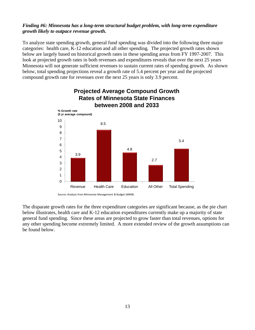#### *Finding #6: Minnesota has a long-term structural budget problem, with long-term expenditure growth likely to outpace revenue growth.*

To analyze state spending growth, general fund spending was divided into the following three major categories: health care, K-12 education and all other spending. The projected growth rates shown below are largely based on historical growth rates in these spending areas from FY 1997-2007. This look at projected growth rates in both revenues and expenditures reveals that over the next 25 years Minnesota will not generate sufficient revenues to sustain current rates of spending growth. As shown below, total spending projections reveal a growth rate of 5.4 percent per year and the projected compound growth rate for revenues over the next 25 years is only 3.9 percent.



# **Projected Average Compound Growth Rates of Minnesota State Finances**

Source: Analysis from Minnesota Management & Budget (MMB)

The disparate growth rates for the three expenditure categories are significant because, as the pie chart below illustrates, health care and K-12 education expenditures currently make up a majority of state general fund spending. Since these areas are projected to grow faster than total revenues, options for any other spending become extremely limited. A more extended review of the growth assumptions can be found below.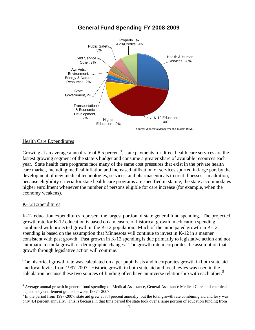

### **General Fund Spending FY 2008-2009**

#### Health Care Expenditures

Growing at an average annual rate of 8.5 percent<sup>[4](#page-18-0)</sup>, state payments for direct health care services are the fastest growing segment of the state's budget and consume a greater share of available resources each year. State health care programs face many of the same cost pressures that exist in the private health care market, including medical inflation and increased utilization of services spurred in large part by the development of new medical technologies, services, and pharmaceuticals to treat illnesses. In addition, because eligibility criteria for state health care programs are specified in statute, the state accommodates higher enrollment whenever the number of persons eligible for care increase (for example, when the economy weakens).

#### K-12 Expenditures

1

K-12 education expenditures represent the largest portion of state general fund spending. The projected growth rate for K-12 education is based on a measure of historical growth in education spending combined with projected growth in the K-12 population. Much of the anticipated growth in K-12 spending is based on the assumption that Minnesota will continue to invest in K-12 in a manner consistent with past growth. Past growth in K-12 spending is due primarily to legislative action and not automatic formula growth or demographic changes. The growth rate incorporates the assumption that growth through legislative action will continue.

The historical growth rate was calculated on a per pupil basis and incorporates growth in both state aid and local levies from 1997-2007. Historic growth in both state aid and local levies was used in the calculation because these two sources of funding often have an inverse relationship with each other.<sup>[5](#page-18-1)</sup>

<span id="page-18-0"></span><sup>&</sup>lt;sup>4</sup> Average annual growth in general fund spending on Medical Assistance, General Assistance Medical Care, and chemical dependency entitlement grants between 1997 - 2007

<span id="page-18-1"></span> $5 \text{ In the period from } 1997\text{-}2007$ , state aid grew at 7.4 percent annually, but the total growth rate combining aid and levy was only 4.4 percent annually. This is because in that time period the state took over a large portion of education funding from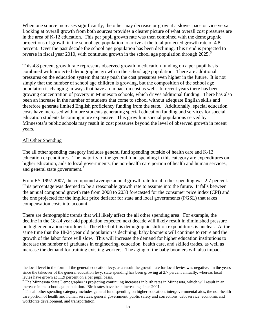When one source increases significantly, the other may decrease or grow at a slower pace or vice versa. Looking at overall growth from both sources provides a clearer picture of what overall cost pressures are in the area of K-12 education. This per pupil growth rate was then combined with the demographic projections of growth in the school age population to arrive at the total projected growth rate of 4.8 percent. Over the past decade the school age population has been declining. This trend is projected to reverse in fiscal year 2010, with continued growth in the school age population through 2025.<sup>[6](#page-19-0)</sup>

This 4.8 percent growth rate represents observed growth in education funding on a per pupil basis combined with projected demographic growth in the school age population. There are additional pressures on the education system that may push the cost pressures even higher in the future. It is not simply that the number of school age children is growing, but the composition of the school age population is changing in ways that have an impact on cost as well. In recent years there has been growing concentration of poverty in Minnesota schools, which drives additional funding. There has also been an increase in the number of students that come to school without adequate English skills and therefore generate limited English proficiency funding from the state. Additionally, special education costs have increased with more students generating special education funding and services for special education students becoming more expensive. This growth in special populations served by Minnesota's public schools may result in cost pressures beyond the level of observed growth in recent years.

#### All Other Spending

The all other spending category includes general fund spending outside of health care and K-12 education expenditures. The majority of the general fund spending in this category are expenditures on higher education, aids to local governments, the non-health care portion of health and human services, and general state government.<sup>[7](#page-19-1)</sup>

From FY 1997-2007, the compound average annual growth rate for all other spending was 2.7 percent. This percentage was deemed to be a reasonable growth rate to assume into the future. It falls between the annual compound growth rate from 2008 to 2033 forecasted for the consumer price index (CPI) and the one projected for the implicit price deflator for state and local governments (PGSL) that takes compensation costs into account.

There are demographic trends that will likely affect the all other spending area. For example, the decline in the 18-24 year old population expected next decade will likely result in diminished pressure on higher education enrollment. The effect of this demographic shift on expenditures is unclear. At the same time that the 18-24 year old population is declining, baby boomers will continue to retire and the growth of the labor force will slow. This will increase the demand for higher education institutions to increase the number of graduates in engineering, education, health care, and skilled trades, as well as increase the demand for training existing workers. The aging of the baby boomers will also impact

the local level in the form of the general education levy, as a result the growth rate for local levies was negative. In the years since the takeover of the general education levy, state spending has been growing at 2.7 percent annually, whereas local levies have grown at 11.9 percent on a per pupil basis.

<span id="page-19-0"></span><sup>&</sup>lt;sup>6</sup> The Minnesota State Demographer is projecting continuing increases in birth rates in Minnesota, which will result in an increase in the school age population. Birth rates have been increasing since 2001.

<span id="page-19-1"></span> $<sup>7</sup>$  The all other spending category includes general fund spending on higher education, intergovernmental aids, the non-health</sup> care portion of health and human services, general government, public safety and corrections, debt service, economic and workforce development, and transportation.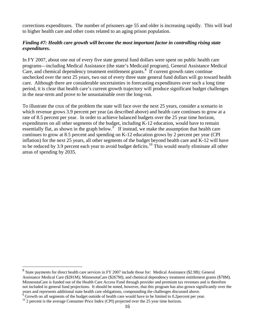corrections expenditures. The number of prisoners age 55 and older is increasing rapidly. This will lead to higher health care and other costs related to an aging prison population.

#### *Finding #7: Health care growth will become the most important factor in controlling rising state expenditures.*

In FY 2007, about one out of every five state general fund dollars were spent on public health care programs—including Medical Assistance (the state's Medicaid program), General Assistance Medical Care, and chemical dependency treatment entitlement grants.<sup>[8](#page-20-0)</sup> If current growth rates continue unchecked over the next 25 years, two out of every three state general fund dollars will go toward health care. Although there are considerable uncertainties in forecasting expenditures over such a long time period, it is clear that health care's current growth trajectory will produce significant budget challenges in the near-term and prove to be unsustainable over the long-run.

To illustrate the crux of the problem the state will face over the next 25 years, consider a scenario in which revenue grows 3.9 percent per year (as described above) and health care continues to grow at a rate of 8.5 percent per year. In order to achieve balanced budgets over the 25 year time horizon, expenditures on all other segments of the budget, including K-12 education, would have to remain essentially flat, as shown in the graph below.<sup>[9](#page-20-1)</sup> If instead, we make the assumption that health care continues to grow at 8.5 percent and spending on K-12 education grows by 2 percent per year (CPI inflation) for the next 25 years, all other segments of the budget beyond health care and K-12 will have to be reduced by 3.9 percent each year to avoid budget deficits.<sup>[10](#page-20-2)</sup> This would nearly eliminate all other areas of spending by 2035.

 $\overline{a}$ 

<span id="page-20-0"></span><sup>8</sup> State payments for direct health care services in FY 2007 include those for: Medical Assistance (\$2.9B); General Assistance Medical Care (\$281M); MinnesotaCare (\$267M); and chemical dependency treatment entitlement grants (\$78M). MinnesotaCare is funded out of the Health Care Access Fund through provider and premium tax revenues and is therefore not included in general fund projections. It should be noted, however, that this program has also grown significantly over the years and represents additional state health care obligations, compounding the challenges discussed above. 9

<span id="page-20-1"></span>Growth on all segments of the budget outside of health care would have to be limited to 0.2percent per year.

<span id="page-20-2"></span> $10$  2 percent is the average Consumer Price Index (CPI) projected over the 25 year time horizon.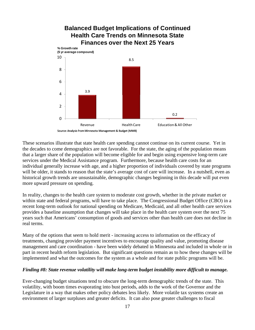

These scenarios illustrate that state health care spending cannot continue on its current course. Yet in the decades to come demographics are not favorable. For the state, the aging of the population means that a larger share of the population will become eligible for and begin using expensive long-term care services under the Medical Assistance program. Furthermore, because health care costs for an individual generally increase with age, and a higher proportion of individuals covered by state programs will be older, it stands to reason that the state's average cost of care will increase. In a nutshell, even as historical growth trends are unsustainable, demographic changes beginning in this decade will put even more upward pressure on spending.

In reality, changes to the health care system to moderate cost growth, whether in the private market or within state and federal programs, will have to take place. The Congressional Budget Office (CBO) in a recent long-term outlook for national spending on Medicare, Medicaid, and all other health care services provides a baseline assumption that changes will take place in the health care system over the next 75 years such that Americans' consumption of goods and services other than health care does not decline in real terms.

Many of the options that seem to hold merit - increasing access to information on the efficacy of treatments, changing provider payment incentives to encourage quality and value, promoting disease management and care coordination - have been widely debated in Minnesota and included in whole or in part in recent health reform legislation. But significant questions remain as to how these changes will be implemented and what the outcomes for the system as a whole and for state public programs will be.

#### *Finding #8: State revenue volatility will make long-term budget instability more difficult to manage.*

Ever-changing budget situations tend to obscure the long-term demographic trends of the state. This volatility, with boom times evaporating into bust periods, adds to the work of the Governor and the Legislature in a way that makes other policy debates less likely. More volatile tax systems create an environment of larger surpluses and greater deficits. It can also pose greater challenges to fiscal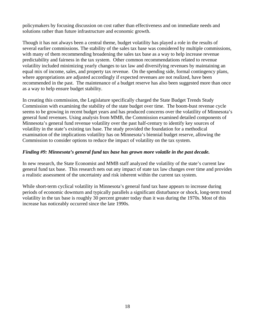policymakers by focusing discussion on cost rather than effectiveness and on immediate needs and solutions rather than future infrastructure and economic growth.

Though it has not always been a central theme, budget volatility has played a role in the results of several earlier commissions. The stability of the sales tax base was considered by multiple commissions, with many of them recommending broadening the sales tax base as a way to help increase revenue predictability and fairness in the tax system. Other common recommendations related to revenue volatility included minimizing yearly changes to tax law and diversifying revenues by maintaining an equal mix of income, sales, and property tax revenue. On the spending side, formal contingency plans, where appropriations are adjusted accordingly if expected revenues are not realized, have been recommended in the past. The maintenance of a budget reserve has also been suggested more than once as a way to help ensure budget stability.

In creating this commission, the Legislature specifically charged the State Budget Trends Study Commission with examining the stability of the state budget over time. The boom-bust revenue cycle seems to be growing in recent budget years and has produced concerns over the volatility of Minnesota's general fund revenues. Using analysis from MMB, the Commission examined detailed components of Minnesota's general fund revenue volatility over the past half-century to identify key sources of volatility in the state's existing tax base. The study provided the foundation for a methodical examination of the implications volatility has on Minnesota's biennial budget reserve, allowing the Commission to consider options to reduce the impact of volatility on the tax system.

#### *Finding #9: Minnesota's general fund tax base has grown more volatile in the past decade.*

In new research, the State Economist and MMB staff analyzed the volatility of the state's current law general fund tax base. This research nets out any impact of state tax law changes over time and provides a realistic assessment of the uncertainty and risk inherent within the current tax system.

While short-term cyclical volatility in Minnesota's general fund tax base appears to increase during periods of economic downturn and typically parallels a significant disturbance or shock, long-term trend volatility in the tax base is roughly 30 percent greater today than it was during the 1970s. Most of this increase has noticeably occurred since the late 1990s.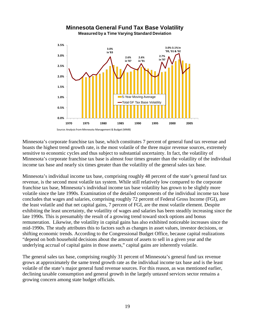#### **0.0% 0.5% 1.0% 1.5% 2.0% 2.5% 3.0% 3.5% 1970 1975 1980 1985 1990 1995 2000 2005** 5-Year Moving Average Total GF Tax Base Volatility **Minnesota General Fund Tax Base Volatility Measured by a Time Varying Standard Deviation 2.6% in '91** Source: Analysis from Minnesota Management & Budget (MMB) **3.0% in '83 2.6% in '87 2.7% in '97 3.0%‐3.1% in '99, '01 &'02**

Minnesota's corporate franchise tax base, which constitutes 7 percent of general fund tax revenue and boasts the highest trend growth rate, is the most volatile of the three major revenue sources, extremely sensitive to economic cycles and thus subject to substantial uncertainty. In fact, the volatility of Minnesota's corporate franchise tax base is almost four times greater than the volatility of the individual income tax base and nearly six times greater than the volatility of the general sales tax base.

Minnesota's individual income tax base, comprising roughly 48 percent of the state's general fund tax revenue, is the second most volatile tax system. While still relatively low compared to the corporate franchise tax base, Minnesota's individual income tax base volatility has grown to be slightly more volatile since the late 1990s. Examination of the detailed components of the individual income tax base concludes that wages and salaries, comprising roughly 72 percent of Federal Gross Income (FGI), are the least volatile and that net capital gains, 7 percent of FGI, are the most volatile element. Despite exhibiting the least uncertainty, the volatility of wages and salaries has been steadily increasing since the late 1990s. This is presumably the result of a growing trend toward stock options and bonus remuneration. Likewise, the volatility in capital gains has also exhibited noticeable increases since the mid-1990s. The study attributes this to factors such as changes in asset values, investor decisions, or shifting economic trends. According to the Congressional Budget Office, because capital realizations "depend on both household decisions about the amount of assets to sell in a given year and the underlying accrual of capital gains in those assets," capital gains are inherently volatile.

The general sales tax base, comprising roughly 31 percent of Minnesota's general fund tax revenue grows at approximately the same trend growth rate as the individual income tax base and is the least volatile of the state's major general fund revenue sources. For this reason, as was mentioned earlier, declining taxable consumption and general growth in the largely untaxed services sector remains a growing concern among state budget officials.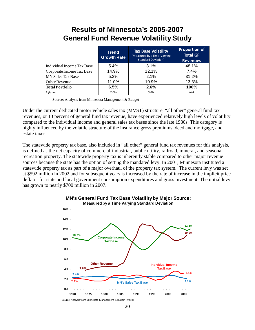# **Results of Minnesota's 2005-2007 General Fund Revenue Volatility Study**

|                            | <b>Trend</b><br><b>Growth Rate</b> | <b>Tax Base Volatility</b><br>(Measured by a Time-Varying<br><b>Standard Deviation)</b> | <b>Proportion of</b><br><b>Total GF</b><br><b>Revenues</b> |
|----------------------------|------------------------------------|-----------------------------------------------------------------------------------------|------------------------------------------------------------|
| Individual Income Tax Base | 5.4%                               | 3.1%                                                                                    | 48.1%                                                      |
| Corporate Income Tax Base  | 14.9%                              | 12.1%                                                                                   | 7.4%                                                       |
| <b>MN Sales Tax Base</b>   | $5.2\%$                            | 2.1%                                                                                    | 31.2%                                                      |
| Other Revenue              | 11.0%                              | 10.9%                                                                                   | 13.3%                                                      |
| <b>Total Portfolio</b>     | 6.5%                               | 2.6%                                                                                    | 100%                                                       |
| <b>Inflation</b>           | 2.6%                               | 0.6%                                                                                    | N/A                                                        |

Source: Analysis from Minnesota Management & Budget

Under the current dedicated motor vehicle sales tax (MVST) structure, "all other" general fund tax revenues, or 13 percent of general fund tax revenue, have experienced relatively high levels of volatility compared to the individual income and general sales tax bases since the late 1980s. This category is highly influenced by the volatile structure of the insurance gross premiums, deed and mortgage, and estate taxes.

The statewide property tax base, also included in "all other" general fund tax revenues for this analysis, is defined as the net capacity of commercial-industrial, public utility, railroad, mineral, and seasonal recreation property. The statewide property tax is inherently stable compared to other major revenue sources because the state has the option of setting the mandated levy. In 2001, Minnesota instituted a statewide property tax as part of a major overhaul of the property tax system. The current levy was set at \$592 million in 2002 and for subsequent years is increased by the rate of increase in the implicit price deflator for state and local government consumption expenditures and gross investment. The initial levy has grown to nearly \$700 million in 2007.





<sup>20</sup>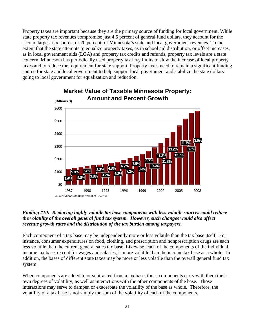Property taxes are important because they are the primary source of funding for local government. While state property tax revenues compromise just 4.5 percent of general fund dollars, they account for the second largest tax source, or 20 percent, of Minnesota's state and local government revenues. To the extent that the state attempts to equalize property taxes, as in school aid distribution, or offset increases, as in local government aids (LGA) and property tax credits and refunds, property tax levels are a state concern. Minnesota has periodically used property tax levy limits to slow the increase of local property taxes and to reduce the requirement for state support. Property taxes need to remain a significant funding source for state and local government to help support local government and stabilize the state dollars going to local government for equalization and reduction.



# **Market Value of Taxable Minnesota Property: Amount and Percent Growth**

#### *Finding #10: Replacing highly volatile tax base components with less volatile sources could reduce the volatility of the overall general fund tax system. However, such changes would also affect revenue growth rates and the distribution of the tax burden among taxpayers.*

Each component of a tax base may be independently more or less volatile than the tax base itself. For instance, consumer expenditures on food, clothing, and prescription and nonprescription drugs are each less volatile than the current general sales tax base. Likewise, each of the components of the individual income tax base, except for wages and salaries, is more volatile than the income tax base as a whole. In addition, the bases of different state taxes may be more or less volatile than the overall general fund tax system.

When components are added to or subtracted from a tax base, those components carry with them their own degrees of volatility, as well as interactions with the other components of the base. Those interactions may serve to dampen or exacerbate the volatility of the base as whole. Therefore, the volatility of a tax base is not simply the sum of the volatility of each of the components.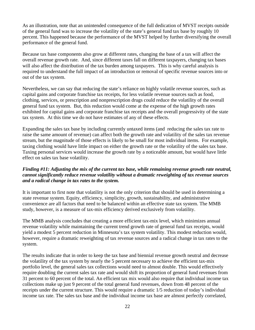As an illustration, note that an unintended consequence of the full dedication of MVST receipts outside of the general fund was to increase the volatility of the state's general fund tax base by roughly 10 percent. This happened because the performance of the MVST helped by further diversifying the overall performance of the general fund.

Because tax base components also grow at different rates, changing the base of a tax will affect the overall revenue growth rate. And, since different taxes fall on different taxpayers, changing tax bases will also affect the distribution of the tax burden among taxpayers. This is why careful analysis is required to understand the full impact of an introduction or removal of specific revenue sources into or out of the tax system.

Nevertheless, we can say that reducing the state's reliance on highly volatile revenue sources, such as capital gains and corporate franchise tax receipts, for less volatile revenue sources such as food, clothing, services, or prescription and nonprescription drugs could reduce the volatility of the overall general fund tax system. But, this reduction would come at the expense of the high growth rates exhibited for capital gains and corporate franchise tax receipts and the overall progressivity of the state tax system. At this time we do not have estimates of any of these effects.

Expanding the sales tax base by including currently untaxed items (and reducing the sales tax rate to raise the same amount of revenue) can affect both the growth rate and volatility of the sales tax revenue stream, but the magnitude of those effects is likely to be small for most individual items. For example, taxing clothing would have little impact on either the growth rate or the volatility of the sales tax base. Taxing personal services would increase the growth rate by a noticeable amount, but would have little effect on sales tax base volatility.

#### *Finding #11: Adjusting the mix of the current tax base, while remaining revenue growth rate neutral, cannot significantly reduce revenue volatility without a dramatic reweighting of tax revenue sources and a radical change in tax rates to the system.*

It is important to first note that volatility is not the only criterion that should be used in determining a state revenue system. Equity, efficiency, simplicity, growth, sustainability, and administrative convenience are all factors that need to be balanced within an effective state tax system. The MMB study, however, is a measure of tax-mix efficiency derived exclusively from volatility.

The MMB analysis concludes that creating a more efficient tax-mix level, which minimizes annual revenue volatility while maintaining the current trend growth rate of general fund tax receipts, would yield a modest 5 percent reduction in Minnesota's tax system volatility. This modest reduction would, however, require a dramatic reweighting of tax revenue sources and a radical change in tax rates to the system.

The results indicate that in order to keep the tax base and biennial revenue growth neutral and decrease the volatility of the tax system by nearly the 5 percent necessary to achieve the efficient tax-mix portfolio level, the general sales tax collections would need to almost double. This would effectively require doubling the current sales tax rate and would shift its proportion of general fund revenues from 31 percent to 60 percent of the total. An efficient tax mix would also require that individual income tax collections make up just 9 percent of the total general fund revenues, down from 48 percent of the receipts under the current structure. This would require a dramatic 1/5 reduction of today's individual income tax rate. The sales tax base and the individual income tax base are almost perfectly correlated,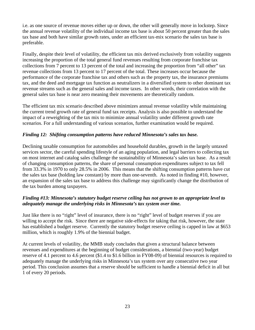i.e. as one source of revenue moves either up or down, the other will generally move in lockstep. Since the annual revenue volatility of the individual income tax base is about 50 percent greater than the sales tax base and both have similar growth rates, under an efficient tax-mix scenario the sales tax base is preferable.

Finally, despite their level of volatility, the efficient tax mix derived exclusively from volatility suggests increasing the proportion of the total general fund revenues resulting from corporate franchise tax collections from 7 percent to 13 percent of the total and increasing the proportion from "all other" tax revenue collections from 13 percent to 17 percent of the total. These increases occur because the performance of the corporate franchise tax and others such as the property tax, the insurance premiums tax, and the deed and mortgage tax function as neutralizers in a diversified system to other dominant tax revenue streams such as the general sales and income taxes. In other words, their correlation with the general sales tax base is near zero meaning their movements are theoretically random.

The efficient tax mix scenario described above minimizes annual revenue volatility while maintaining the current trend growth rate of general fund tax receipts. Analysis is also possible to understand the impact of a reweighting of the tax mix to minimize annual volatility under different growth rate scenarios. For a full understanding of various scenarios, further examination would be required.

#### *Finding 12: Shifting consumption patterns have reduced Minnesota's sales tax base.*

Declining taxable consumption for automobiles and household durables, growth in the largely untaxed services sector, the careful spending lifestyle of an aging population, and legal barriers to collecting tax on most internet and catalog sales challenge the sustainability of Minnesota's sales tax base. As a result of changing consumption patterns, the share of personal consumption expenditures subject to tax fell from 33.3% in 1970 to only 28.5% in 2006. This means that the shifting consumption patterns have cut the sales tax base (holding law constant) by more than one-seventh. As noted in finding #10, however, an expansion of the sales tax base to address this challenge may significantly change the distribution of the tax burden among taxpayers.

#### *Finding #13: Minnesota's statutory budget reserve ceiling has not grown to an appropriate level to adequately manage the underlying risks in Minnesota's tax system over time.*

Just like there is no "right" level of insurance, there is no "right" level of budget reserves if you are willing to accept the risk. Since there are negative side-effects for taking that risk, however, the state has established a budget reserve. Currently the statutory budget reserve ceiling is capped in law at \$653 million, which is roughly 1.9% of the biennial budget.

At current levels of volatility, the MMB study concludes that given a structural balance between revenues and expenditures at the beginning of budget considerations, a biennial (two-year) budget reserve of 4.1 percent to 4.6 percent (\$1.4 to \$1.6 billion in FY08-09) of biennial resources is required to adequately manage the underlying risks in Minnesota's tax system over any consecutive two year period. This conclusion assumes that a reserve should be sufficient to handle a biennial deficit in all but 1 of every 20 periods.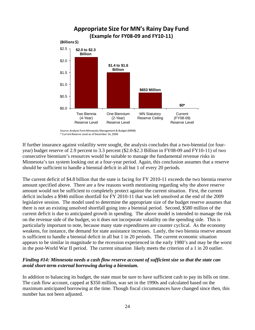

Source: Analysisfrom Minnesota Management & Budget (MMB)

\* CurrentReserve Level as of December 16, 2008

If further insurance against volatility were sought, the analysis concludes that a two-biennial (or fouryear) budget reserve of 2.9 percent to 3.3 percent (\$2.0-\$2.3 Billion in FY08-09 and FY10-11) of two consecutive biennium's resources would be suitable to manage the fundamental revenue risks in Minnesota's tax system looking out at a four-year period. Again, this conclusion assumes that a reserve should be sufficient to handle a biennial deficit in all but 1 of every 20 periods.

The current deficit of \$4.8 billion that the state is facing for FY 2010-11 exceeds the two biennia reserve amount specified above. There are a few reasons worth mentioning regarding why the above reserve amount would not be sufficient to completely protect against the current situation. First, the current deficit includes a \$946 million shortfall for FY 2010-11 that was left unsolved at the end of the 2009 legislative session. The model used to determine the appropriate size of the budget reserve assumes that there is not an existing unsolved shortfall going into a biennial period. Second, \$580 million of the current deficit is due to anticipated growth in spending. The above model is intended to manage the risk on the revenue side of the budget, so it does not incorporate volatility on the spending side. This is particularly important to note, because many state expenditures are counter cyclical. As the economy weakens, for instance, the demand for state assistance increases. Lastly, the two biennia reserve amount is sufficient to handle a biennial deficit in all but 1 in 20 periods. The current economic situation appears to be similar in magnitude to the recession experienced in the early 1980's and may be the worst in the post-World War II period. The current situation likely meets the criterion of a 1 in 20 outlier.

#### *Finding #14: Minnesota needs a cash flow reserve account of sufficient size so that the state can avoid short-term external borrowing during a biennium.*

In addition to balancing its budget, the state must be sure to have sufficient cash to pay its bills on time. The cash flow account, capped at \$350 million, was set in the 1990s and calculated based on the maximum anticipated borrowing at the time. Though fiscal circumstances have changed since then, this number has not been adjusted.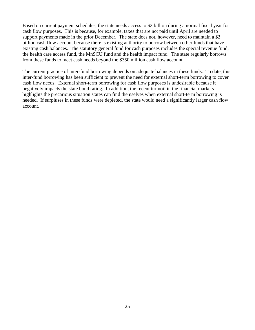Based on current payment schedules, the state needs access to \$2 billion during a normal fiscal year for cash flow purposes. This is because, for example, taxes that are not paid until April are needed to support payments made in the prior December. The state does not, however, need to maintain a \$2 billion cash flow account because there is existing authority to borrow between other funds that have existing cash balances. The statutory general fund for cash purposes includes the special revenue fund, the health care access fund, the MnSCU fund and the health impact fund. The state regularly borrows from these funds to meet cash needs beyond the \$350 million cash flow account.

The current practice of inter-fund borrowing depends on adequate balances in these funds. To date, this inter-fund borrowing has been sufficient to prevent the need for external short-term borrowing to cover cash flow needs. External short-term borrowing for cash flow purposes is undesirable because it negatively impacts the state bond rating. In addition, the recent turmoil in the financial markets highlights the precarious situation states can find themselves when external short-term borrowing is needed. If surpluses in these funds were depleted, the state would need a significantly larger cash flow account.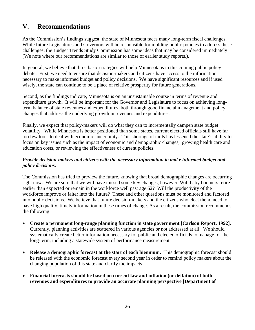# **V. Recommendations**

As the Commission's findings suggest, the state of Minnesota faces many long-term fiscal challenges. While future Legislatures and Governors will be responsible for molding public policies to address these challenges, the Budget Trends Study Commission has some ideas that may be considered immediately (We note where our recommendations are similar to those of earlier study reports.).

In general, we believe that three basic strategies will help Minnesotans in this coming public policy debate. First, we need to ensure that decision-makers and citizens have access to the information necessary to make informed budget and policy decisions. We have significant resources and if used wisely, the state can continue to be a place of relative prosperity for future generations.

Second, as the findings indicate, Minnesota is on an unsustainable course in terms of revenue and expenditure growth. It will be important for the Governor and Legislature to focus on achieving longterm balance of state revenues and expenditures, both through good financial management and policy changes that address the underlying growth in revenues and expenditures.

Finally, we expect that policy-makers will do what they can to incrementally dampen state budget volatility. While Minnesota is better positioned than some states, current elected officials still have far too few tools to deal with economic uncertainty. This shortage of tools has lessened the state's ability to focus on key issues such as the impact of economic and demographic changes, growing health care and education costs, or reviewing the effectiveness of current policies.

#### *Provide decision-makers and citizens with the necessary information to make informed budget and policy decisions.*

The Commission has tried to preview the future, knowing that broad demographic changes are occurring right now. We are sure that we will have missed some key changes, however. Will baby boomers retire earlier than expected or remain in the workforce well past age 62? Will the productivity of the workforce improve or falter into the future? These and other questions must be monitored and factored into public decisions. We believe that future decision-makers and the citizens who elect them, need to have high quality, timely information in these times of change. As a result, the commission recommends the following:

- **Create a permanent long-range planning function in state government [Carlson Report, 1992].** Currently, planning activities are scattered in various agencies or not addressed at all. We should systematically create better information necessary for public and elected officials to manage for the long-term, including a statewide system of performance measurement.
- **Release a demographic forecast at the start of each biennium.** This demographic forecast should be released with the economic forecast every second year in order to remind policy makers about the changing population of this state and clarify the impacts.
- **Financial forecasts should be based on current law and inflation (or deflation) of both revenues and expenditures to provide an accurate planning perspective [Department of**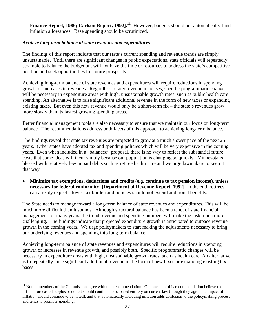**Finance Report, 1986; Carlson Report, 1992].<sup>11</sup>** However, budgets should not automatically fund inflation allowances. Base spending should be scrutinized.

#### *Achieve long-term balance of state revenues and expenditures*

The findings of this report indicate that our state's current spending and revenue trends are simply unsustainable. Until there are significant changes in public expectations, state officials will repeatedly scramble to balance the budget but will not have the time or resources to address the state's competitive position and seek opportunities for future prosperity.

Achieving long-term balance of state revenues and expenditures will require reductions in spending growth or increases in revenues. Regardless of any revenue increases, specific programmatic changes will be necessary in expenditure areas with high, unsustainable growth rates, such as public health care spending. An alternative is to raise significant additional revenue in the form of new taxes or expanding existing taxes. But even this new revenue would only be a short-term fix – the state's revenues grow more slowly than its fastest growing spending areas.

Better financial management tools are also necessary to ensure that we maintain our focus on long-term balance. The recommendations address both facets of this approach to achieving long-term balance.

The findings reveal that state tax revenues are projected to grow at a much slower pace of the next 25 years. Other states have adopted tax and spending policies which will be very expensive in the coming years. Even when included in a "balanced" proposal, there is no way to reflect the substantial future costs that some ideas will incur simply because our population is changing so quickly. Minnesota is blessed with relatively few unpaid debts such as retiree health care and we urge lawmakers to keep it that way.

• **Minimize tax exemptions, deductions and credits (e.g. continue to tax pension income), unless necessary for federal conformity. [Department of Revenue Report, 1992]** In the end, retirees can already expect a lower tax burden and policies should not extend additional benefits.

The State needs to manage toward a long-term balance of state revenues and expenditures. This will be much more difficult than it sounds. Although structural balance has been a tenet of state financial management for many years, the trend revenue and spending numbers will make the task much more challenging. The findings indicate that projected expenditure growth is anticipated to outpace revenue growth in the coming years. We urge policymakers to start making the adjustments necessary to bring our underlying revenues and spending into long-term balance.

Achieving long-term balance of state revenues and expenditures will require reductions in spending growth or increases in revenue growth, and possibly both. Specific programmatic changes will be necessary in expenditure areas with high, unsustainable growth rates, such as health care. An alternative is to repeatedly raise significant additional revenue in the form of new taxes or expanding existing tax bases.

 $\overline{a}$ 

 $11$  Not all members of the Commission agree with this recommendation. Opponents of this recommendation believe the official forecasted surplus or deficit should continue to be based entirely on current law (though they agree the impact of inflation should continue to be noted), and that automatically including inflation adds confusion to the policymaking process and tends to promote spending.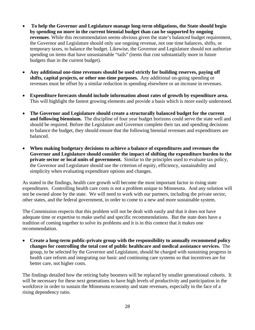- • **To help the Governor and Legislature manage long-term obligations, the State should begin by spending no more in the current biennial budget than can be supported by ongoing revenues**. While this recommendation seems obvious given the state's balanced budget requirement, the Governor and Legislature should only use ongoing revenue, not one time balances, shifts, or temporary taxes, to balance the budget. Likewise, the Governor and Legislature should not authorize spending on items that have unsustainable "tails" (items that cost substantially more in future budgets than in the current budget).
- **Any additional one-time revenues should be used strictly for building reserves, paying off shifts, capital projects, or other one-time purposes.** Any additional on-going spending or revenues must be offset by a similar reduction in spending elsewhere or an increase in revenues.
- **Expenditure forecasts should include information about rates of growth by expenditure area.** This will highlight the fastest growing elements and provide a basis which is more easily understood.
- **The Governor and Legislature should create a structurally balanced budget for the current and following biennium.** The discipline of four year budget horizons could serve the state well and should be required. Before the Legislature and Governor complete their tax and spending decisions to balance the budget, they should ensure that the following biennial revenues and expenditures are balanced.
- **When making budgetary decisions to achieve a balance of expenditures and revenues the Governor and Legislature should consider the impact of shifting the expenditure burden to the private sector or local units of government.** Similar to the principles used to evaluate tax policy, the Governor and Legislature should use the criterion of equity, efficiency, sustainability and simplicity when evaluating expenditure options and changes.

As stated in the findings, health care growth will become the most important factor in rising state expenditures.Controlling health care costs is not a problem unique to Minnesota. And any solution will not be owned alone by the state. We will need to work with our partners, including the private sector, other states, and the federal government, in order to come to a new and more sustainable system.

The Commission respects that this problem will not be dealt with easily and that it does not have adequate time or expertise to make useful and specific recommendations. But the state does have a tradition of coming together to solve its problems and it is in this context that it makes one recommendation.

• **Create a long-term public-private group with the responsibility to annually recommend policy changes for controlling the total cost of public healthcare and medical assistance services.** The group, to be selected by the Governor and Legislature, should be charged with sustaining progress in health care reform and integrating our basic and continuing care systems so that incentives are for better care, not higher costs.

The findings detailed how the retiring baby boomers will be replaced by smaller generational cohorts. It will be necessary for these next generations to have high levels of productivity and participation in the workforce in order to sustain the Minnesota economy and state revenues, especially in the face of a rising dependency ratio.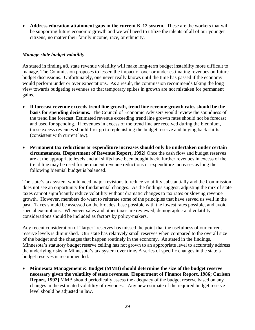• **Address education attainment gaps in the current K-12 system.** These are the workers that will be supporting future economic growth and we will need to utilize the talents of all of our younger citizens, no matter their family income, race, or ethnicity.

#### *Manage state budget volatility*

As stated in finding #8, state revenue volatility will make long-term budget instability more difficult to manage. The Commission proposes to lessen the impact of over or under estimating revenues on future budget discussions. Unfortunately, one never really knows until the time has passed if the economy would perform under or over expectations. As a result, the commission recommends taking the long view towards budgeting revenues so that temporary spikes in growth are not mistaken for permanent gains.

- **If forecast revenue exceeds trend line growth, trend line revenue growth rates should be the basis for spending decisions.** The Council of Economic Advisers would review the soundness of the trend line forecast. Estimated revenue exceeding trend line growth rates should not be forecast and used for spending. If revenues in excess of the trend line are received during the biennium, those excess revenues should first go to replenishing the budget reserve and buying back shifts (consistent with current law).
- **Permanent tax reductions or expenditure increases should only be undertaken under certain circumstances. [Department of Revenue Report, 1992]** Once the cash flow and budget reserves are at the appropriate levels and all shifts have been bought back, further revenues in excess of the trend line may be used for permanent revenue reductions or expenditure increases as long the following biennial budget is balanced.

The state's tax system would need major revisions to reduce volatility substantially and the Commission does not see an opportunity for fundamental changes. As the findings suggest, adjusting the mix of state taxes cannot significantly reduce volatility without dramatic changes to tax rates or slowing revenue growth.However, members do want to reiterate some of the principles that have served us well in the past. Taxes should be assessed on the broadest base possible with the lowest rates possible, and avoid special exemptions. Whenever sales and other taxes are reviewed, demographic and volatility considerations should be included as factors by policy-makers.

Any recent consideration of "larger" reserves has missed the point that the usefulness of our current reserve levels is diminished. Our state has relatively small reserves when compared to the overall size of the budget and the changes that happen routinely in the economy. As stated in the findings, Minnesota's statutory budget reserve ceiling has not grown to an appropriate level to accurately address the underlying risks in Minnesota's tax system over time**.** A series of specific changes in the state's budget reserves is recommended.

• **Minnesota Management & Budget (MMB) should determine the size of the budget reserve necessary given the volatility of state revenues. [Department of Finance Report, 1986; Carlson Report, 1992]** MMB should periodically assess the adequacy of the budget reserve based on any changes in the estimated volatility of revenues. Any new estimate of the required budget reserve level should be adjusted in law.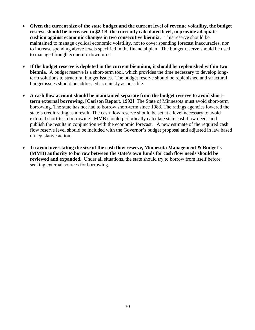- **Given the current size of the state budget and the current level of revenue volatility, the budget reserve should be increased to \$2.1B, the currently calculated level, to provide adequate cushion against economic changes in two consecutive biennia.** This reserve should be maintained to manage cyclical economic volatility, not to cover spending forecast inaccuracies, nor to increase spending above levels specified in the financial plan. The budget reserve should be used to manage through economic downturns.
- **If the budget reserve is depleted in the current biennium, it should be replenished within two biennia.** A budget reserve is a short-term tool, which provides the time necessary to develop longterm solutions to structural budget issues. The budget reserve should be replenished and structural budget issues should be addressed as quickly as possible.
- **A cash flow account should be maintained separate from the budget reserve to avoid shortterm external borrowing. [Carlson Report, 1992]** The State of Minnesota must avoid short-term borrowing. The state has not had to borrow short-term since 1983. The ratings agencies lowered the state's credit rating as a result. The cash flow reserve should be set at a level necessary to avoid external short-term borrowing. MMB should periodically calculate state cash flow needs and publish the results in conjunction with the economic forecast. A new estimate of the required cash flow reserve level should be included with the Governor's budget proposal and adjusted in law based on legislative action.
- **To avoid overstating the size of the cash flow reserve, Minnesota Management & Budget's (MMB) authority to borrow between the state's own funds for cash flow needs should be reviewed and expanded.** Under all situations, the state should try to borrow from itself before seeking external sources for borrowing.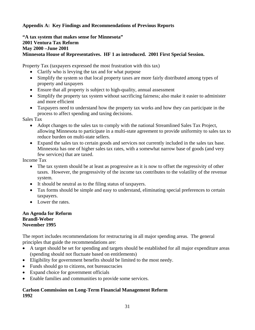#### **Appendix A: Key Findings and Recommendations of Previous Reports**

**"A tax system that makes sense for Minnesota" 2001 Ventura Tax Reform May 2000 –June 2001 Minnesota House of Representatives. HF 1 as introduced. 2001 First Special Session.** 

Property Tax (taxpayers expressed the most frustration with this tax)

- Clarify who is levying the tax and for what purpose
- Simplify the system so that local property taxes are more fairly distributed among types of property and taxpayers
- Ensure that all property is subject to high-quality, annual assessment
- Simplify the property tax system without sacrificing fairness; also make it easier to administer and more efficient
- Taxpayers need to understand how the property tax works and how they can participate in the process to affect spending and taxing decisions.

Sales Tax

- Adopt changes to the sales tax to comply with the national Streamlined Sales Tax Project, allowing Minnesota to participate in a multi-state agreement to provide uniformity to sales tax to reduce burden on multi-state sellers.
- Expand the sales tax to certain goods and services not currently included in the sales tax base. Minnesota has one of higher sales tax rates, with a somewhat narrow base of goods (and very few services) that are taxed.

Income Tax

- The tax system should be at least as progressive as it is now to offset the regressivity of other taxes. However, the progressivity of the income tax contributes to the volatility of the revenue system.
- It should be neutral as to the filing status of taxpayers.
- Tax forms should be simple and easy to understand, eliminating special preferences to certain taxpayers.
- Lower the rates.

#### **An Agenda for Reform Brandl-Weber November 1995**

The report includes recommendations for restructuring in all major spending areas. The general principles that guide the recommendations are:

- A target should be set for spending and targets should be established for all major expenditure areas (spending should not fluctuate based on entitlements)
- Eligibility for government benefits should be limited to the most needy.
- Funds should go to citizens, not bureaucracies
- Expand choice for government officials
- Enable families and communities to provide some services.

#### **Carlson Commission on Long-Term Financial Management Reform 1992**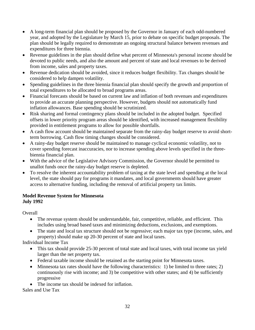- A long-term financial plan should be proposed by the Governor in January of each odd-numbered year, and adopted by the Legislature by March 15, prior to debate on specific budget proposals. The plan should be legally required to demonstrate an ongoing structural balance between revenues and expenditures for three biennia.
- Revenue guidelines in the plan should define what percent of Minnesota's personal income should be devoted to public needs, and also the amount and percent of state and local revenues to be derived from income, sales and property taxes.
- Revenue dedication should be avoided, since it reduces budget flexibility. Tax changes should be considered to help dampen volatility.
- Spending guidelines in the three biennia financial plan should specify the growth and proportion of total expenditures to be allocated to broad programs areas.
- Financial forecasts should be based on current law and inflation of both revenues and expenditures to provide an accurate planning perspective. However, budgets should not automatically fund inflation allowances. Base spending should be scrutinized.
- Risk sharing and formal contingency plans should be included in the adopted budget. Specified offsets in lower priority program areas should be identified, with increased management flexibility provided in entitlement programs to allow for possible shortfalls.
- A cash flow account should be maintained separate from the rainy-day budget reserve to avoid shortterm borrowing. Cash flow timing changes should be considered.
- A rainy-day budget reserve should be maintained to manage cyclical economic volatility, not to cover spending forecast inaccuracies, nor to increase spending above levels specified in the threebiennia financial plan.
- With the advice of the Legislative Advisory Commission, the Governor should be permitted to unallot funds once the rainy-day budget reserve is depleted.
- To resolve the inherent accountability problem of taxing at the state level and spending at the local level, the state should pay for programs it mandates, and local governments should have greater access to alternative funding, including the removal of artificial property tax limits.

#### **Model Revenue System for Minnesota July 1992**

**Overall** 

- The revenue system should be understandable, fair, competitive, reliable, and efficient. This includes using broad based taxes and minimizing deductions, exclusions, and exemptions.
- The state and local tax structure should not be regressive; each major tax type (income, sales, and property) should make up 20-30 percent of state and local taxes.

Individual Income Tax

- This tax should provide 25-30 percent of total state and local taxes, with total income tax yield larger than the net property tax.
- Federal taxable income should be retained as the starting point for Minnesota taxes.
- Minnesota tax rates should have the following characteristics: 1) be limited to three rates; 2) continuously rise with income; and 3) be competitive with other states; and 4) be sufficiently progressive
- The income tax should be indexed for inflation.

Sales and Use Tax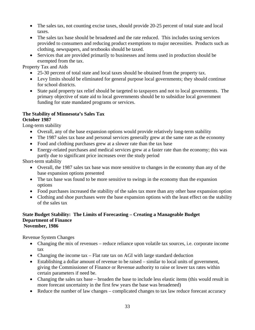- The sales tax, not counting excise taxes, should provide 20-25 percent of total state and local taxes.
- The sales tax base should be broadened and the rate reduced. This includes taxing services provided to consumers and reducing product exemptions to major necessities. Products such as clothing, newspapers, and textbooks should be taxed.
- Services that are provided primarily to businesses and items used in production should be exempted from the tax.

Property Tax and Aids

- 25-30 percent of total state and local taxes should be obtained from the property tax.
- Levy limits should be eliminated for general purpose local governments; they should continue for school districts.
- State paid property tax relief should be targeted to taxpayers and not to local governments. The primary objective of state aid to local governments should be to subsidize local government funding for state mandated programs or services.

#### **The Stability of Minnesota's Sales Tax October 1987**

Long-term stability

- Overall, any of the base expansion options would provide relatively long-term stability
- The 1987 sales tax base and personal services generally grew at the same rate as the economy
- Food and clothing purchases grew at a slower rate than the tax base
- Energy-related purchases and medical services grew at a faster rate than the economy; this was partly due to significant price increases over the study period

Short-term stability

- Overall, the 1987 sales tax base was more sensitive to changes in the economy than any of the base expansion options presented
- The tax base was found to be more sensitive to swings in the economy than the expansion options
- Food purchases increased the stability of the sales tax more than any other base expansion option
- Clothing and shoe purchases were the base expansion options with the least effect on the stability of the sales tax

#### **State Budget Stability: The Limits of Forecasting – Creating a Manageable Budget Department of Finance November, 1986**

Revenue System Changes

- Changing the mix of revenues reduce reliance upon volatile tax sources, i.e. corporate income tax
- Changing the income tax Flat rate tax on AGI with large standard deduction
- Establishing a dollar amount of revenue to be raised similar to local units of government, giving the Commissioner of Finance or Revenue authority to raise or lower tax rates within certain parameters if need be.
- Changing the sales tax base broaden the base to include less elastic items (this would result in more forecast uncertainty in the first few years the base was broadened)
- Reduce the number of law changes complicated changes to tax law reduce forecast accuracy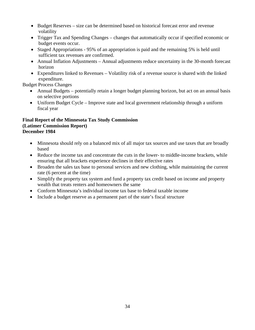- Budget Reserves size can be determined based on historical forecast error and revenue volatility
- Trigger Tax and Spending Changes changes that automatically occur if specified economic or budget events occur.
- Staged Appropriations 95% of an appropriation is paid and the remaining 5% is held until sufficient tax revenues are confirmed.
- Annual Inflation Adjustments Annual adjustments reduce uncertainty in the 30-month forecast horizon
- Expenditures linked to Revenues Volatility risk of a revenue source is shared with the linked expenditure.

Budget Process Changes

- Annual Budgets potentially retain a longer budget planning horizon, but act on an annual basis on selective portions
- Uniform Budget Cycle Improve state and local government relationship through a uniform fiscal year

#### **Final Report of the Minnesota Tax Study Commission (Latimer Commission Report) December 1984**

- Minnesota should rely on a balanced mix of all major tax sources and use taxes that are broadly based
- Reduce the income tax and concentrate the cuts in the lower- to middle-income brackets, while ensuring that all brackets experience declines in their effective rates
- Broaden the sales tax base to personal services and new clothing, while maintaining the current rate (6 percent at the time)
- Simplify the property tax system and fund a property tax credit based on income and property wealth that treats renters and homeowners the same
- Conform Minnesota's individual income tax base to federal taxable income
- Include a budget reserve as a permanent part of the state's fiscal structure